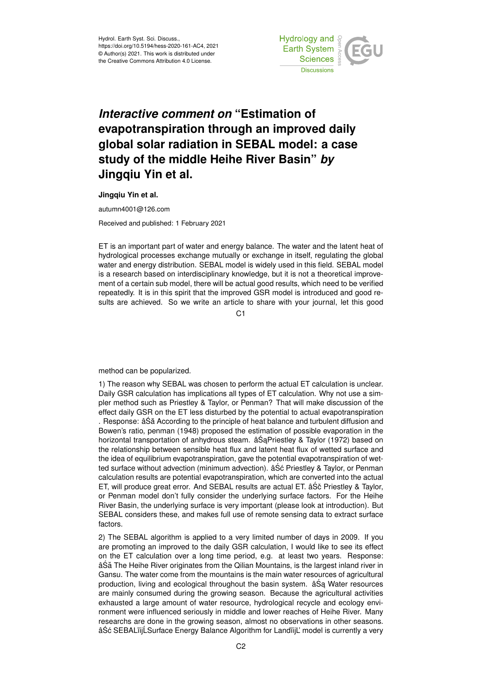

## *Interactive comment on* **"Estimation of evapotranspiration through an improved daily global solar radiation in SEBAL model: a case study of the middle Heihe River Basin"** *by* **Jingqiu Yin et al.**

**Jingqiu Yin et al.**

autumn4001@126.com

Received and published: 1 February 2021

ET is an important part of water and energy balance. The water and the latent heat of hydrological processes exchange mutually or exchange in itself, regulating the global water and energy distribution. SEBAL model is widely used in this field. SEBAL model is a research based on interdisciplinary knowledge, but it is not a theoretical improvement of a certain sub model, there will be actual good results, which need to be verified repeatedly. It is in this spirit that the improved GSR model is introduced and good results are achieved. So we write an article to share with your journal, let this good

 $C<sub>1</sub>$ 

method can be popularized.

1) The reason why SEBAL was chosen to perform the actual ET calculation is unclear. Daily GSR calculation has implications all types of ET calculation. Why not use a simpler method such as Priestley & Taylor, or Penman? That will make discussion of the effect daily GSR on the ET less disturbed by the potential to actual evapotranspiration . Response: âŚă According to the principle of heat balance and turbulent diffusion and Bowen's ratio, penman (1948) proposed the estimation of possible evaporation in the horizontal transportation of anhydrous steam.  $âŠaPriestley & Taylor (1972)$  based on the relationship between sensible heat flux and latent heat flux of wetted surface and the idea of equilibrium evapotranspiration, gave the potential evapotranspiration of wetted surface without advection (minimum advection).  $\hat{a}\hat{S}\hat{c}$  Priestley & Taylor, or Penman calculation results are potential evapotranspiration, which are converted into the actual ET, will produce great error. And SEBAL results are actual ET. âSo Priestley & Taylor, or Penman model don't fully consider the underlying surface factors. For the Heihe River Basin, the underlying surface is very important (please look at introduction). But SEBAL considers these, and makes full use of remote sensing data to extract surface factors.

2) The SEBAL algorithm is applied to a very limited number of days in 2009. If you are promoting an improved to the daily GSR calculation, I would like to see its effect on the ET calculation over a long time period, e.g. at least two years. Response: âŚă The Heihe River originates from the Qilian Mountains, is the largest inland river in Gansu. The water come from the mountains is the main water resources of agricultural production, living and ecological throughout the basin system.  $âSa$  Water resources are mainly consumed during the growing season. Because the agricultural activities exhausted a large amount of water resource, hydrological recycle and ecology environment were influenced seriously in middle and lower reaches of Heihe River. Many researchs are done in the growing season, almost no observations in other seasons. âŚć SEBALïijĹSurface Energy Balance Algorithm for LandïijĽ model is currently a very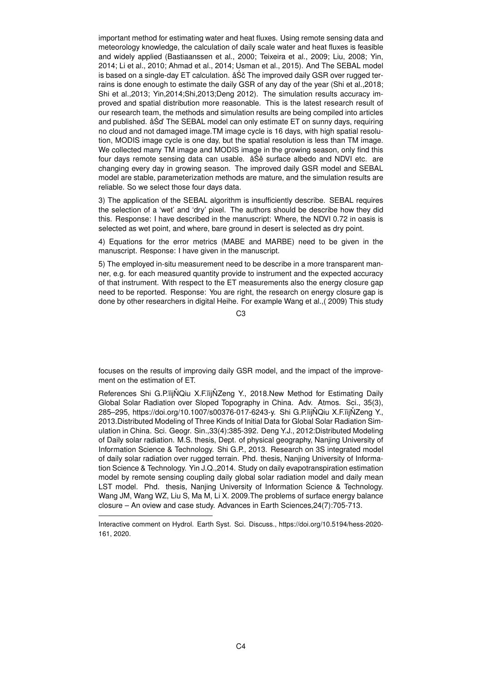important method for estimating water and heat fluxes. Using remote sensing data and meteorology knowledge, the calculation of daily scale water and heat fluxes is feasible and widely applied (Bastiaanssen et al., 2000; Teixeira et al., 2009; Liu, 2008; Yin, 2014; Li et al., 2010; Ahmad et al., 2014; Usman et al., 2015). And The SEBAL model is based on a single-day ET calculation.  $âS\ddot{\mathrm{c}}$  The improved daily GSR over rugged terrains is done enough to estimate the daily GSR of any day of the year (Shi et al.,2018; Shi et al.,2013; Yin,2014;Shi,2013;Deng 2012). The simulation results accuracy improved and spatial distribution more reasonable. This is the latest research result of our research team, the methods and simulation results are being compiled into articles and published. â Sd' The SEBAL model can only estimate ET on sunny days, requiring no cloud and not damaged image.TM image cycle is 16 days, with high spatial resolution, MODIS image cycle is one day, but the spatial resolution is less than TM image. We collected many TM image and MODIS image in the growing season, only find this four days remote sensing data can usable.  $âS\acute{e}$  surface albedo and NDVI etc. are changing every day in growing season. The improved daily GSR model and SEBAL model are stable, parameterization methods are mature, and the simulation results are reliable. So we select those four days data.

3) The application of the SEBAL algorithm is insufficiently describe. SEBAL requires the selection of a 'wet' and 'dry' pixel. The authors should be describe how they did this. Response: I have described in the manuscript: Where, the NDVI 0.72 in oasis is selected as wet point, and where, bare ground in desert is selected as dry point.

4) Equations for the error metrics (MABE and MARBE) need to be given in the manuscript. Response: I have given in the manuscript.

5) The employed in-situ measurement need to be describe in a more transparent manner, e.g. for each measured quantity provide to instrument and the expected accuracy of that instrument. With respect to the ET measurements also the energy closure gap need to be reported. Response: You are right, the research on energy closure gap is done by other researchers in digital Heihe. For example Wang et al.,( 2009) This study

C3

focuses on the results of improving daily GSR model, and the impact of the improvement on the estimation of ET.

References Shi G.P. iij NQiu X.F. iij NZeng Y., 2018. New Method for Estimating Daily Global Solar Radiation over Sloped Topography in China. Adv. Atmos. Sci., 35(3), 285–295, https://doi.org/10.1007/s00376-017-6243-y. Shi G.P.ïijŇQiu X.F.ïijŇZeng Y., 2013.Distributed Modeling of Three Kinds of Initial Data for Global Solar Radiation Simulation in China. Sci. Geogr. Sin.,33(4):385-392. Deng Y.J., 2012:Distributed Modeling of Daily solar radiation. M.S. thesis, Dept. of physical geography, Nanjing University of Information Science & Technology. Shi G.P., 2013. Research on 3S integrated model of daily solar radiation over rugged terrain. Phd. thesis, Nanjing University of Information Science & Technology. Yin J.Q.,2014. Study on daily evapotranspiration estimation model by remote sensing coupling daily global solar radiation model and daily mean LST model. Phd. thesis, Nanjing University of Information Science & Technology. Wang JM, Wang WZ, Liu S, Ma M, Li X. 2009.The problems of surface energy balance closure – An oview and case study. Advances in Earth Sciences,24(7):705-713.

Interactive comment on Hydrol. Earth Syst. Sci. Discuss., https://doi.org/10.5194/hess-2020- 161, 2020.